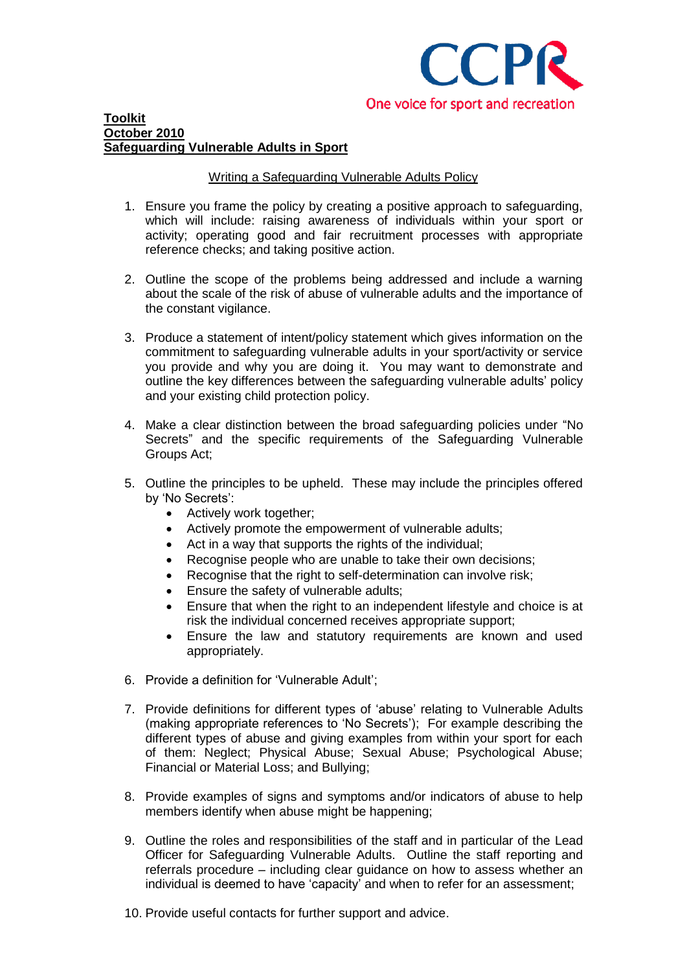

#### **Toolkit October 2010 Safeguarding Vulnerable Adults in Sport**

# Writing a Safeguarding Vulnerable Adults Policy

- 1. Ensure you frame the policy by creating a positive approach to safeguarding, which will include: raising awareness of individuals within your sport or activity; operating good and fair recruitment processes with appropriate reference checks; and taking positive action.
- 2. Outline the scope of the problems being addressed and include a warning about the scale of the risk of abuse of vulnerable adults and the importance of the constant vigilance.
- 3. Produce a statement of intent/policy statement which gives information on the commitment to safeguarding vulnerable adults in your sport/activity or service you provide and why you are doing it. You may want to demonstrate and outline the key differences between the safeguarding vulnerable adults" policy and your existing child protection policy.
- 4. Make a clear distinction between the broad safeguarding policies under "No Secrets" and the specific requirements of the Safeguarding Vulnerable Groups Act;
- 5. Outline the principles to be upheld. These may include the principles offered by 'No Secrets':
	- Actively work together;
	- Actively promote the empowerment of vulnerable adults;
	- Act in a way that supports the rights of the individual;
	- Recognise people who are unable to take their own decisions;
	- Recognise that the right to self-determination can involve risk:
	- **Ensure the safety of vulnerable adults;**
	- Ensure that when the right to an independent lifestyle and choice is at risk the individual concerned receives appropriate support;
	- Ensure the law and statutory requirements are known and used appropriately.
- 6. Provide a definition for "Vulnerable Adult";
- 7. Provide definitions for different types of "abuse" relating to Vulnerable Adults (making appropriate references to "No Secrets"); For example describing the different types of abuse and giving examples from within your sport for each of them: Neglect; Physical Abuse; Sexual Abuse; Psychological Abuse; Financial or Material Loss; and Bullying;
- 8. Provide examples of signs and symptoms and/or indicators of abuse to help members identify when abuse might be happening;
- 9. Outline the roles and responsibilities of the staff and in particular of the Lead Officer for Safeguarding Vulnerable Adults. Outline the staff reporting and referrals procedure – including clear guidance on how to assess whether an individual is deemed to have 'capacity' and when to refer for an assessment;
- 10. Provide useful contacts for further support and advice.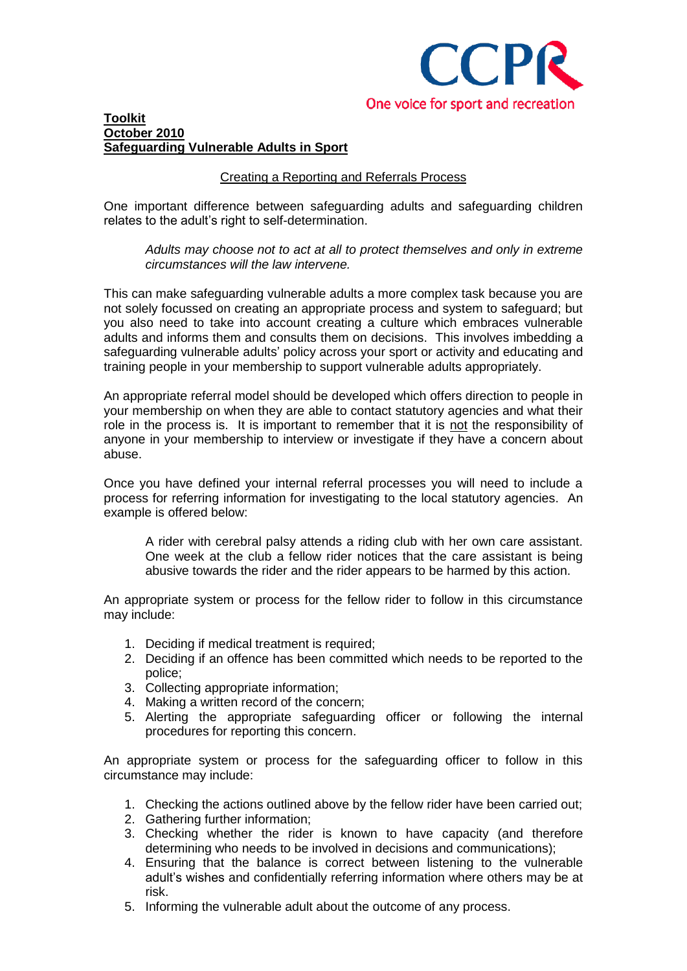

### **Toolkit October 2010 Safeguarding Vulnerable Adults in Sport**

# Creating a Reporting and Referrals Process

One important difference between safeguarding adults and safeguarding children relates to the adult"s right to self-determination.

*Adults may choose not to act at all to protect themselves and only in extreme circumstances will the law intervene.* 

This can make safeguarding vulnerable adults a more complex task because you are not solely focussed on creating an appropriate process and system to safeguard; but you also need to take into account creating a culture which embraces vulnerable adults and informs them and consults them on decisions. This involves imbedding a safeguarding vulnerable adults' policy across your sport or activity and educating and training people in your membership to support vulnerable adults appropriately.

An appropriate referral model should be developed which offers direction to people in your membership on when they are able to contact statutory agencies and what their role in the process is. It is important to remember that it is not the responsibility of anyone in your membership to interview or investigate if they have a concern about abuse.

Once you have defined your internal referral processes you will need to include a process for referring information for investigating to the local statutory agencies. An example is offered below:

A rider with cerebral palsy attends a riding club with her own care assistant. One week at the club a fellow rider notices that the care assistant is being abusive towards the rider and the rider appears to be harmed by this action.

An appropriate system or process for the fellow rider to follow in this circumstance may include:

- 1. Deciding if medical treatment is required;
- 2. Deciding if an offence has been committed which needs to be reported to the police;
- 3. Collecting appropriate information;
- 4. Making a written record of the concern;
- 5. Alerting the appropriate safeguarding officer or following the internal procedures for reporting this concern.

An appropriate system or process for the safeguarding officer to follow in this circumstance may include:

- 1. Checking the actions outlined above by the fellow rider have been carried out;
- 2. Gathering further information;
- 3. Checking whether the rider is known to have capacity (and therefore determining who needs to be involved in decisions and communications);
- 4. Ensuring that the balance is correct between listening to the vulnerable adult"s wishes and confidentially referring information where others may be at risk.
- 5. Informing the vulnerable adult about the outcome of any process.